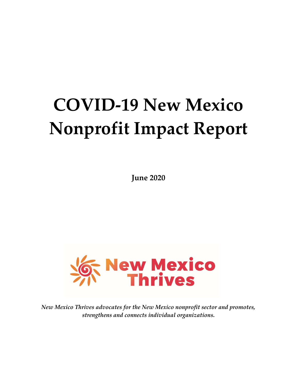# **COVID-19 New Mexico Nonprofit Impact Report**

**June 2020**



*New Mexico Thrives advocates for the New Mexico nonprofit sector and promotes, strengthens and connects individual organizations.*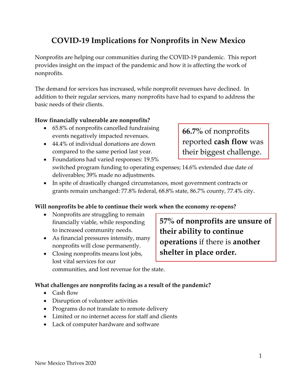### **COVID-19 Implications for Nonprofits in New Mexico**

Nonprofits are helping our communities during the COVID-19 pandemic. This report provides insight on the impact of the pandemic and how it is affecting the work of nonprofits.

The demand for services has increased, while nonprofit revenues have declined. In addition to their regular services, many nonprofits have had to expand to address the basic needs of their clients.

### **How financially vulnerable are nonprofits?**

- 65.8% of nonprofits cancelled fundraising events negatively impacted revenues.
- 44.4% of individual donations are down compared to the same period last year.
- Foundations had varied responses: 19.5% switched program funding to operating expenses; 14.6% extended due date of deliverables; 39% made no adjustments.
- In spite of drastically changed circumstances, most government contracts or grants remain unchanged: 77.8% federal, 68.8% state, 86.7% county, 77.4% city.

### **Will nonprofits be able to continue their work when the economy re-opens?**

- Nonprofits are struggling to remain financially viable, while responding to increased community needs.
- As financial pressures intensify, many nonprofits will close permanently.
- Closing nonprofits means lost jobs, lost vital services for our communities, and lost revenue for the state.

### **What challenges are nonprofits facing as a result of the pandemic?**

- Cash flow
- Disruption of volunteer activities
- Programs do not translate to remote delivery
- Limited or no internet access for staff and clients
- Lack of computer hardware and software

**57% of nonprofits are unsure of their ability to continue operations** if there is **another shelter in place order.**

**66.7%** of nonprofits reported **cash flow** was their biggest challenge.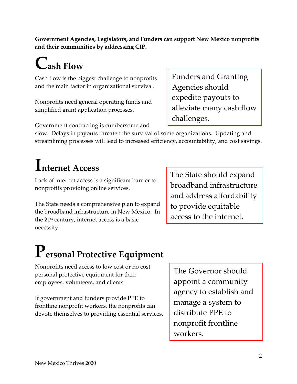**Government Agencies, Legislators, and Funders can support New Mexico nonprofits and their communities by addressing CIP.**

## **Cash Flow**

Cash flow is the biggest challenge to nonprofits and the main factor in organizational survival.

Nonprofits need general operating funds and simplified grant application processes.

Government contracting is cumbersome and

slow. Delays in payouts threaten the survival of some organizations. Updating and streamlining processes will lead to increased efficiency, accountability, and cost savings.

### **Internet Access**

Lack of internet access is a significant barrier to nonprofits providing online services.

The State needs a comprehensive plan to expand the broadband infrastructure in New Mexico. In the  $21<sup>st</sup>$  century, internet access is a basic necessity.

The State should expand broadband infrastructure and address affordability to provide equitable access to the internet.

# **Personal Protective Equipment**

Nonprofits need access to low cost or no cost personal protective equipment for their employees, volunteers, and clients.

If government and funders provide PPE to frontline nonprofit workers, the nonprofits can devote themselves to providing essential services.

The Governor should appoint a community agency to establish and manage a system to distribute PPE to nonprofit frontline workers.

Funders and Granting Agencies should expedite payouts to alleviate many cash flow challenges.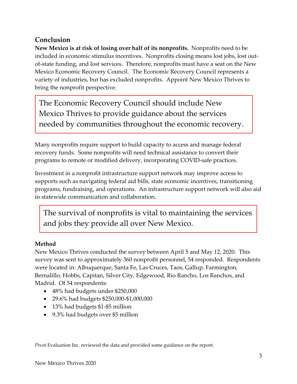### **Conclusion**

**New Mexico is at risk of losing over half of its nonprofits.** Nonprofits need to be included in economic stimulus incentives. Nonprofits closing means lost jobs, lost outof-state funding, and lost services. Therefore, nonprofits must have a seat on the New Mexico Economic Recovery Council.The Economic Recovery Council represents a variety of industries, but has excluded nonprofits. Appoint New Mexico Thrives to bring the nonprofit perspective.

The Economic Recovery Council should include New Mexico Thrives to provide guidance about the services needed by communities throughout the economic recovery.

Many nonprofits require support to build capacity to access and manage federal recovery funds. Some nonprofits will need technical assistance to convert their programs to remote or modified delivery, incorporating COVID-safe practices.

Investment in a nonprofit infrastructure support network may improve access to supports such as navigating federal aid bills, state economic incentives, transitioning programs, fundraising, and operations. An infrastructure support network will also aid in statewide communication and collaboration.

The survival of nonprofits is vital to maintaining the services and jobs they provide all over New Mexico.

### **Method**

New Mexico Thrives conducted the survey between April 5 and May 12, 2020. This survey was sent to approximately 360 nonprofit personnel, 54 responded. Respondents were located in: Albuquerque, Santa Fe, Las Cruces, Taos, Gallup, Farmington, Bernalillo, Hobbs, Capitan, Silver City, Edgewood, Rio Rancho, Los Ranchos, and Madrid. Of 54 respondents:

- 48% had budgets under \$250,000
- 29.6% had budgets \$250,000-\$1,000,000
- 13% had budgets \$1-\$5 million
- 9.3% had budgets over \$5 million

Pivot Evaluation Inc. reviewed the data and provided some guidance on the report.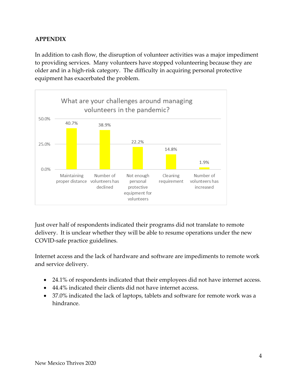### **APPENDIX**

In addition to cash flow, the disruption of volunteer activities was a major impediment to providing services. Many volunteers have stopped volunteering because they are older and in a high-risk category. The difficulty in acquiring personal protective equipment has exacerbated the problem.



Just over half of respondents indicated their programs did not translate to remote delivery. It is unclear whether they will be able to resume operations under the new COVID-safe practice guidelines.

Internet access and the lack of hardware and software are impediments to remote work and service delivery.

- 24.1% of respondents indicated that their employees did not have internet access.
- 44.4% indicated their clients did not have internet access.
- 37.0% indicated the lack of laptops, tablets and software for remote work was a hindrance.